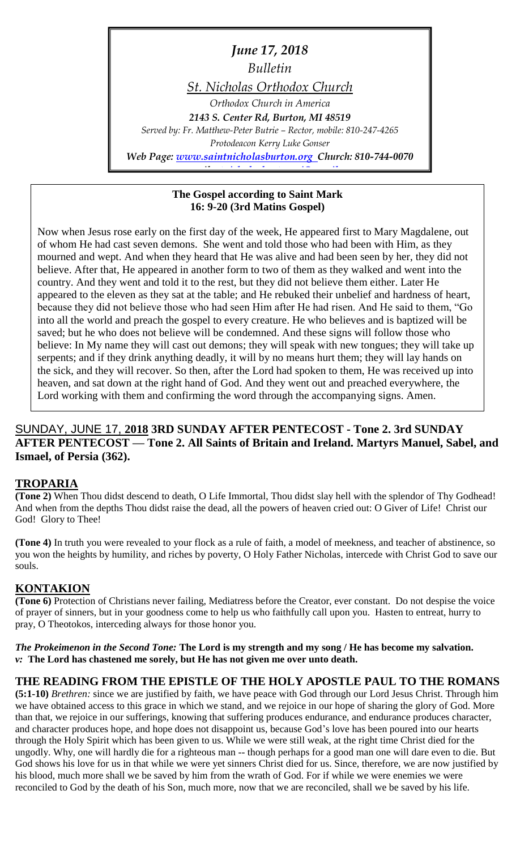*June 17, 2018 Bulletin St. Nicholas Orthodox Church Orthodox Church in America 2143 S. Center Rd, Burton, MI 48519 Served by: Fr. Matthew-Peter Butrie – Rector, mobile: 810-247-4265 Protodeacon Kerry Luke Gonser Web Page: [www.saintnicholasburton.org](http://www.saintnicholasburton.org/) Church: 810-744-0070*

*e-mail: [stnicholasburtonmi@gmail.com](mailto:stnicholasburtonmi@gmail.com)*

#### **The Gospel according to Saint Mark 16: 9-20 (3rd Matins Gospel)**

Now when Jesus rose early on the first day of the week, He appeared first to Mary Magdalene, out of whom He had cast seven demons. She went and told those who had been with Him, as they mourned and wept. And when they heard that He was alive and had been seen by her, they did not believe. After that, He appeared in another form to two of them as they walked and went into the country. And they went and told it to the rest, but they did not believe them either. Later He appeared to the eleven as they sat at the table; and He rebuked their unbelief and hardness of heart, because they did not believe those who had seen Him after He had risen. And He said to them, "Go into all the world and preach the gospel to every creature. He who believes and is baptized will be saved; but he who does not believe will be condemned. And these signs will follow those who believe: In My name they will cast out demons; they will speak with new tongues; they will take up serpents; and if they drink anything deadly, it will by no means hurt them; they will lay hands on the sick, and they will recover. So then, after the Lord had spoken to them, He was received up into heaven, and sat down at the right hand of God. And they went out and preached everywhere, the Lord working with them and confirming the word through the accompanying signs. Amen.

### SUNDAY, JUNE 17, **2018 3RD SUNDAY AFTER PENTECOST - Tone 2. 3rd SUNDAY AFTER PENTECOST — Tone 2. All Saints of Britain and Ireland. Martyrs Manuel, Sabel, and Ismael, of Persia (362).**

### **TROPARIA**

**(Tone 2)** When Thou didst descend to death, O Life Immortal, Thou didst slay hell with the splendor of Thy Godhead! And when from the depths Thou didst raise the dead, all the powers of heaven cried out: O Giver of Life! Christ our God! Glory to Thee!

**(Tone 4)** In truth you were revealed to your flock as a rule of faith, a model of meekness, and teacher of abstinence, so you won the heights by humility, and riches by poverty, O Holy Father Nicholas, intercede with Christ God to save our souls.

### **KONTAKION**

**(Tone 6)** Protection of Christians never failing, Mediatress before the Creator, ever constant. Do not despise the voice of prayer of sinners, but in your goodness come to help us who faithfully call upon you. Hasten to entreat, hurry to pray, O Theotokos, interceding always for those honor you.

*The Prokeimenon in the Second Tone:* **The Lord is my strength and my song / He has become my salvation.** *v:* **The Lord has chastened me sorely, but He has not given me over unto death.**

#### **THE READING FROM THE EPISTLE OF THE HOLY APOSTLE PAUL TO THE ROMANS**

**(5:1-10)** *Brethren:* since we are justified by faith, we have peace with God through our Lord Jesus Christ. Through him we have obtained access to this grace in which we stand, and we rejoice in our hope of sharing the glory of God. More than that, we rejoice in our sufferings, knowing that suffering produces endurance, and endurance produces character, and character produces hope, and hope does not disappoint us, because God's love has been poured into our hearts through the Holy Spirit which has been given to us. While we were still weak, at the right time Christ died for the ungodly. Why, one will hardly die for a righteous man -- though perhaps for a good man one will dare even to die. But God shows his love for us in that while we were yet sinners Christ died for us. Since, therefore, we are now justified by his blood, much more shall we be saved by him from the wrath of God. For if while we were enemies we were reconciled to God by the death of his Son, much more, now that we are reconciled, shall we be saved by his life.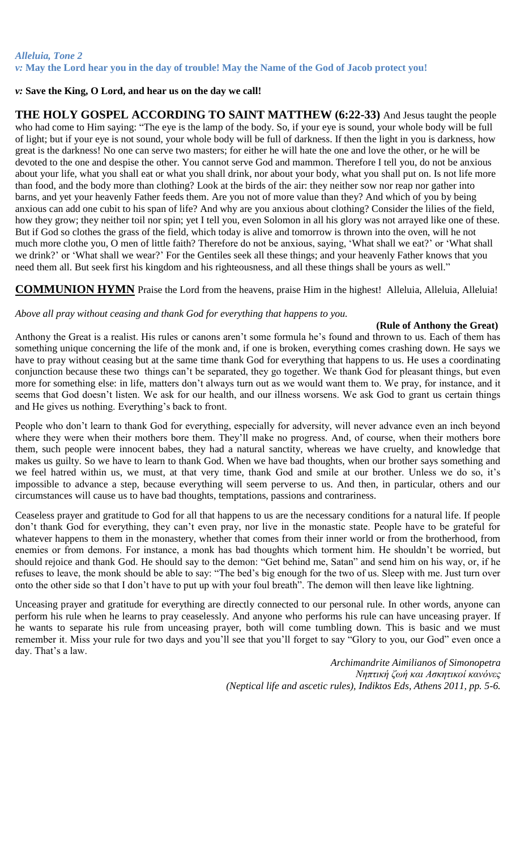#### *Alleluia, Tone 2 v:* **May the Lord hear you in the day of trouble! May the Name of the God of Jacob protect you!**

#### *v:* **Save the King, O Lord, and hear us on the day we call!**

**THE HOLY GOSPEL ACCORDING TO SAINT MATTHEW (6:22-33)** And Jesus taught the people who had come to Him saying: "The eye is the lamp of the body. So, if your eye is sound, your whole body will be full of light; but if your eye is not sound, your whole body will be full of darkness. If then the light in you is darkness, how great is the darkness! No one can serve two masters; for either he will hate the one and love the other, or he will be devoted to the one and despise the other. You cannot serve God and mammon. Therefore I tell you, do not be anxious about your life, what you shall eat or what you shall drink, nor about your body, what you shall put on. Is not life more than food, and the body more than clothing? Look at the birds of the air: they neither sow nor reap nor gather into barns, and yet your heavenly Father feeds them. Are you not of more value than they? And which of you by being anxious can add one cubit to his span of life? And why are you anxious about clothing? Consider the lilies of the field, how they grow; they neither toil nor spin; yet I tell you, even Solomon in all his glory was not arrayed like one of these. But if God so clothes the grass of the field, which today is alive and tomorrow is thrown into the oven, will he not much more clothe you, O men of little faith? Therefore do not be anxious, saying, 'What shall we eat?' or 'What shall we drink?' or 'What shall we wear?' For the Gentiles seek all these things; and your heavenly Father knows that you need them all. But seek first his kingdom and his righteousness, and all these things shall be yours as well."

**COMMUNION HYMN** Praise the Lord from the heavens, praise Him in the highest! Alleluia, Alleluia, Alleluia!

#### *Above all pray without ceasing and thank God for everything that happens to you.*

#### **(Rule of Anthony the Great)**

Anthony the Great is a realist. His rules or canons aren't some formula he's found and thrown to us. Each of them has something unique concerning the life of the monk and, if one is broken, everything comes crashing down. He says we have to pray without ceasing but at the same time thank God for everything that happens to us. He uses a coordinating conjunction because these two things can't be separated, they go together. We thank God for pleasant things, but even more for something else: in life, matters don't always turn out as we would want them to. We pray, for instance, and it seems that God doesn't listen. We ask for our health, and our illness worsens. We ask God to grant us certain things and He gives us nothing. Everything's back to front.

People who don't learn to thank God for everything, especially for adversity, will never advance even an inch beyond where they were when their mothers bore them. They'll make no progress. And, of course, when their mothers bore them, such people were innocent babes, they had a natural sanctity, whereas we have cruelty, and knowledge that makes us guilty. So we have to learn to thank God. When we have bad thoughts, when our brother says something and we feel hatred within us, we must, at that very time, thank God and smile at our brother. Unless we do so, it's impossible to advance a step, because everything will seem perverse to us. And then, in particular, others and our circumstances will cause us to have bad thoughts, temptations, passions and contrariness.

Ceaseless prayer and gratitude to God for all that happens to us are the necessary conditions for a natural life. If people don't thank God for everything, they can't even pray, nor live in the monastic state. People have to be grateful for whatever happens to them in the monastery, whether that comes from their inner world or from the brotherhood, from enemies or from demons. For instance, a monk has bad thoughts which torment him. He shouldn't be worried, but should rejoice and thank God. He should say to the demon: "Get behind me, Satan" and send him on his way, or, if he refuses to leave, the monk should be able to say: "The bed's big enough for the two of us. Sleep with me. Just turn over onto the other side so that I don't have to put up with your foul breath". The demon will then leave like lightning.

Unceasing prayer and gratitude for everything are directly connected to our personal rule. In other words, anyone can perform his rule when he learns to pray ceaselessly. And anyone who performs his rule can have unceasing prayer. If he wants to separate his rule from unceasing prayer, both will come tumbling down. This is basic and we must remember it. Miss your rule for two days and you'll see that you'll forget to say "Glory to you, our God" even once a day. That's a law.

> *Archimandrite Aimilianos of Simonopetra Νηπτική ζωή και Ασκητικοί κανόνες (Neptical life and ascetic rules), Indiktos Eds, Athens 2011, pp. 5-6.*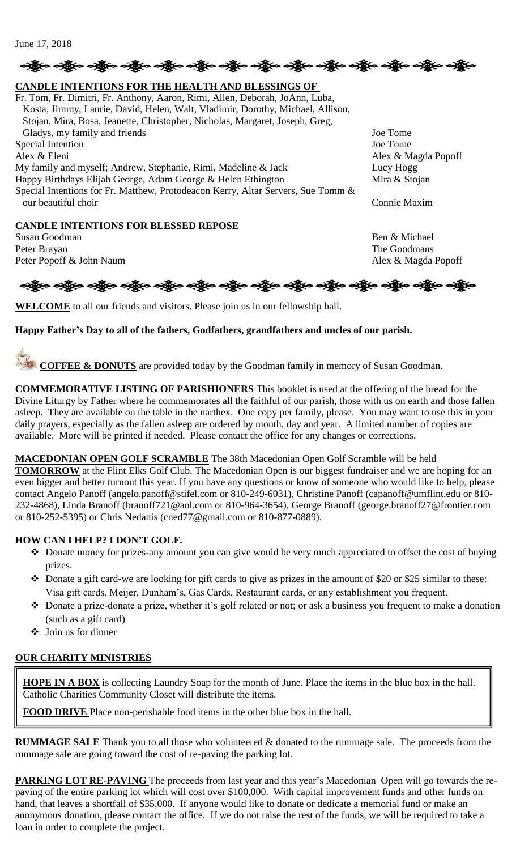```
June 17, 2018
```
# ်း ကြီး ဝတ္ထိုးဝ ဝတ္ထိုးဝ ဝတ္ထိုးဝ ဝတ္ထိုးဝ ဝတ္ထိုးဝ ဝတ္ထိုးဝ ဝတ္ထိုးဝ ဝတ္ထိုးဝ ဝတ္ထိုးဝ ဝတ္ထိုးဝ ဝတ္ထိုးဝ

# **CANDLE INTENTIONS FOR THE HEALTH AND BLESSINGS OF**

Fr. Tom, Fr. Dimitri, Fr. Anthony, Aaron, Rimi, Allen, Deborah, JoAnn, Luba, Kosta, Jimmy, Laurie, David, Helen, Walt, Vladimir, Dorothy, Michael, Allison, Stojan, Mira, Bosa, Jeanette, Christopher, Nicholas, Margaret, Joseph, Greg, Gladys, my family and friends Joe Tome Special Intention Joe Tome Alex & Eleni Alex & Magda Popoff My family and myself; Andrew, Stephanie, Rimi, Madeline & Jack Lucy Hogg Happy Birthdays Elijah George, Adam George & Helen Ethington Mira & Stojan Special Intentions for Fr. Matthew, Protodeacon Kerry, Altar Servers, Sue Tomm & our beautiful choir Connie Maxim

## **CANDLE INTENTIONS FOR BLESSED REPOSE**

Susan Goodman Ben & Michael Peter Brayan The Goodmans The Goodmans The Goodmans The Goodmans The Goodmans The Goodmans The Goodmans The Goodmans The Goodmans The Goodmans The Goodmans The Goodmans The Goodmans The Goodmans The Goodmans The Goodmans T Peter Popoff & John Naum Alex & Magda Popoff



**WELCOME** to all our friends and visitors. Please join us in our fellowship hall.

#### **Happy Father's Day to all of the fathers, Godfathers, grandfathers and uncles of our parish.**

**COFFEE & DONUTS** are provided today by the Goodman family in memory of Susan Goodman.

**COMMEMORATIVE LISTING OF PARISHIONERS** This booklet is used at the offering of the bread for the Divine Liturgy by Father where he commemorates all the faithful of our parish, those with us on earth and those fallen asleep. They are available on the table in the narthex. One copy per family, please. You may want to use this in your daily prayers, especially as the fallen asleep are ordered by month, day and year. A limited number of copies are available. More will be printed if needed. Please contact the office for any changes or corrections.

#### **MACEDONIAN OPEN GOLF SCRAMBLE** The 38th Macedonian Open Golf Scramble will be held

**TOMORROW** at the Flint Elks Golf Club. The Macedonian Open is our biggest fundraiser and we are hoping for an even bigger and better turnout this year. If you have any questions or know of someone who would like to help, please contact Angelo Panoff (angelo.panoff@stifel.com or 810-249-6031), Christine Panoff (capanoff@umflint.edu or 810- 232-4868), Linda Branoff (branoff721@aol.com or 810-964-3654), George Branoff (george.branoff27@frontier.com or 810-252-5395) or Chris Nedanis (cned77@gmail.com or 810-877-0889).

#### **HOW CAN I HELP? I DON'T GOLF.**

- Donate money for prizes-any amount you can give would be very much appreciated to offset the cost of buying prizes.
- Donate a gift card-we are looking for gift cards to give as prizes in the amount of \$20 or \$25 similar to these: Visa gift cards, Meijer, Dunham's, Gas Cards, Restaurant cards, or any establishment you frequent.
- Donate a prize-donate a prize, whether it's golf related or not; or ask a business you frequent to make a donation (such as a gift card)
- Join us for dinner

#### **OUR CHARITY MINISTRIES**

**HOPE IN A BOX** is collecting Laundry Soap for the month of June. Place the items in the blue box in the hall. Catholic Charities Community Closet will distribute the items.

**FOOD DRIVE** Place non-perishable food items in the other blue box in the hall.

**RUMMAGE SALE** Thank you to all those who volunteered & donated to the rummage sale. The proceeds from the rummage sale are going toward the cost of re-paving the parking lot.

**PARKING LOT RE-PAVING** The proceeds from last year and this year's Macedonian Open will go towards the repaving of the entire parking lot which will cost over \$100,000. With capital improvement funds and other funds on hand, that leaves a shortfall of \$35,000. If anyone would like to donate or dedicate a memorial fund or make an anonymous donation, please contact the office. If we do not raise the rest of the funds, we will be required to take a loan in order to complete the project.